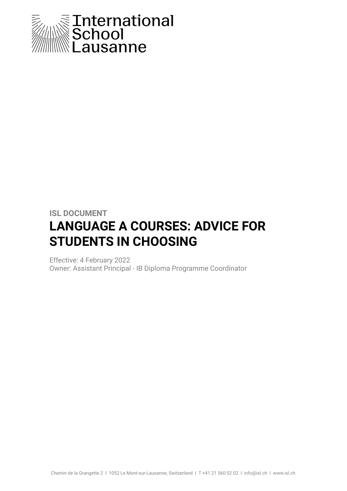

## **ISL DOCUMENT LANGUAGE A COURSES: ADVICE FOR STUDENTS IN CHOOSING**

Effective: 4 February 2022 Owner: Assistant Principal - IB Diploma Programme Coordinator

Chemin de la Grangette 2 I 1052 Le Mont-sur-Lausanne, Switzerland I T +41 21 560 02 02 I info@isl.ch I www.isl.ch